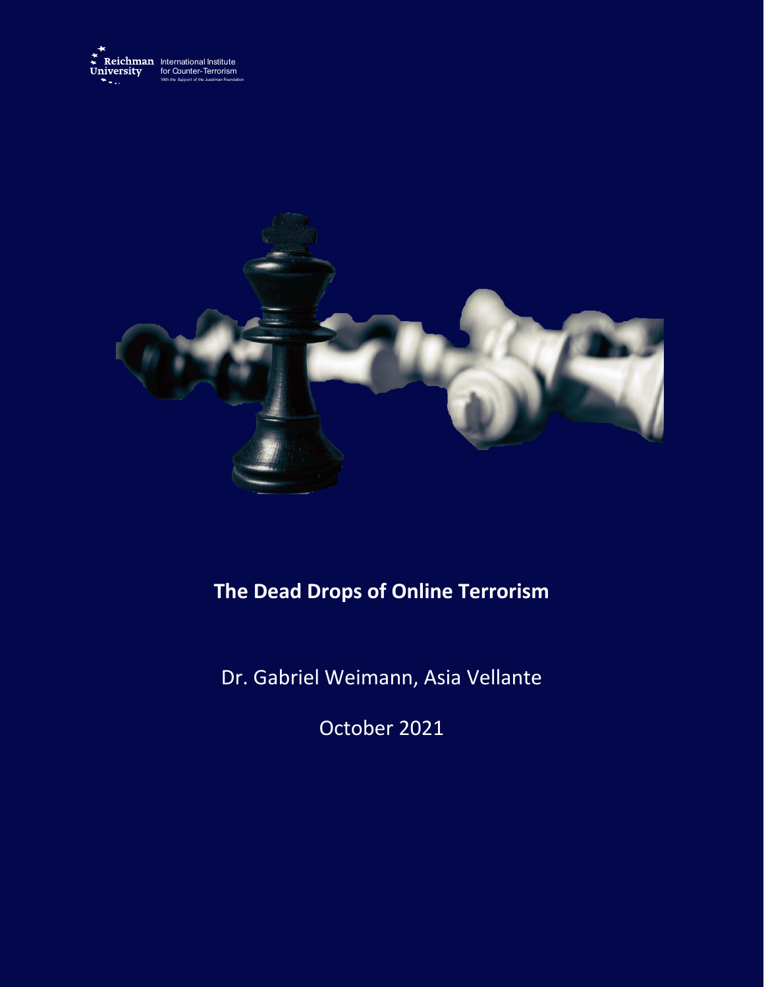



# **The Dead Drops of Online Terrorism**

Dr. Gabriel Weimann, Asia Vellante

October 2021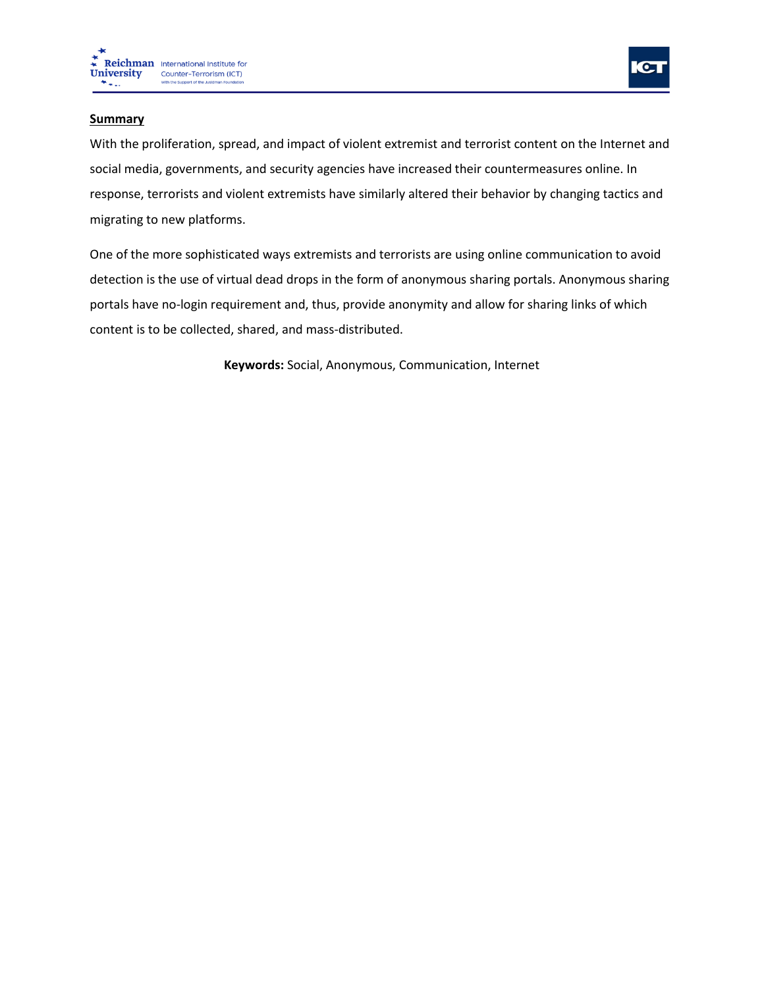



## **Summary**

With the proliferation, spread, and impact of violent extremist and terrorist content on the Internet and social media, governments, and security agencies have increased their countermeasures online. In response, terrorists and violent extremists have similarly altered their behavior by changing tactics and migrating to new platforms.

One of the more sophisticated ways extremists and terrorists are using online communication to avoid detection is the use of virtual dead drops in the form of anonymous sharing portals. Anonymous sharing portals have no-login requirement and, thus, provide anonymity and allow for sharing links of which content is to be collected, shared, and mass-distributed.

**Keywords:** Social, Anonymous, Communication, Internet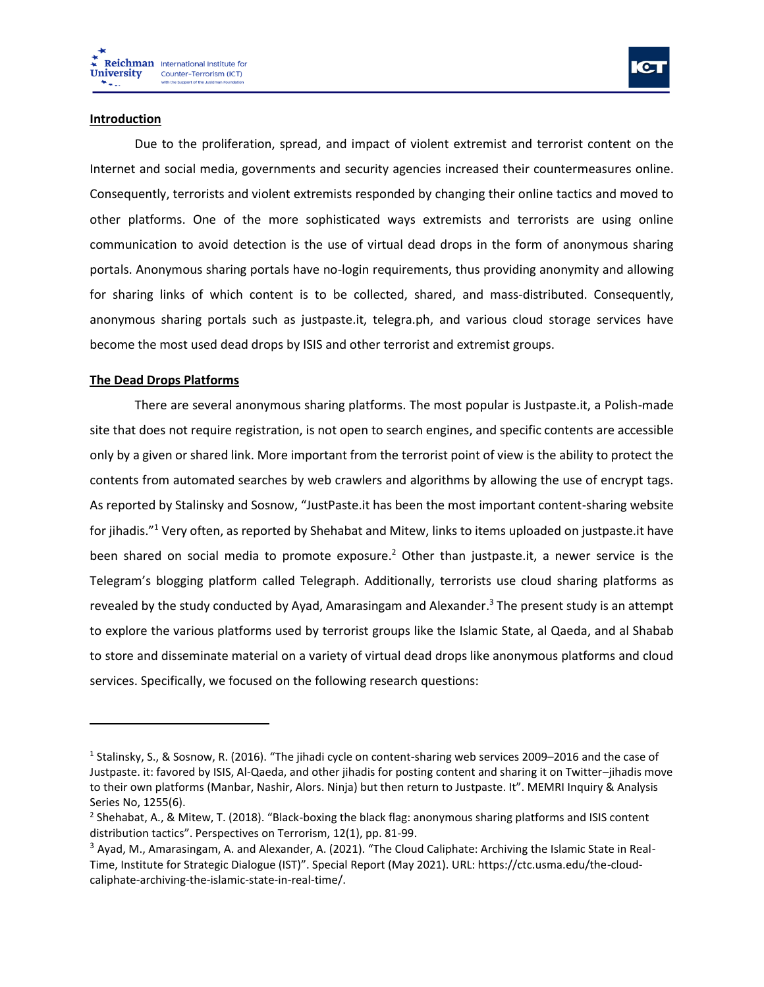

#### **Introduction**

Due to the proliferation, spread, and impact of violent extremist and terrorist content on the Internet and social media, governments and security agencies increased their countermeasures online. Consequently, terrorists and violent extremists responded by changing their online tactics and moved to other platforms. One of the more sophisticated ways extremists and terrorists are using online communication to avoid detection is the use of virtual dead drops in the form of anonymous sharing portals. Anonymous sharing portals have no-login requirements, thus providing anonymity and allowing for sharing links of which content is to be collected, shared, and mass-distributed. Consequently, anonymous sharing portals such as justpaste.it, telegra.ph, and various cloud storage services have become the most used dead drops by ISIS and other terrorist and extremist groups.

## **The Dead Drops Platforms**

There are several anonymous sharing platforms. The most popular is Justpaste.it, a Polish-made site that does not require registration, is not open to search engines, and specific contents are accessible only by a given or shared link. More important from the terrorist point of view is the ability to protect the contents from automated searches by web crawlers and algorithms by allowing the use of encrypt tags. As reported by Stalinsky and Sosnow, "JustPaste.it has been the most important content-sharing website for jihadis." <sup>1</sup> Very often, as reported by Shehabat and Mitew, links to items uploaded on justpaste.it have been shared on social media to promote exposure.<sup>2</sup> Other than justpaste.it, a newer service is the Telegram's blogging platform called Telegraph. Additionally, terrorists use cloud sharing platforms as revealed by the study conducted by Ayad, Amarasingam and Alexander.<sup>3</sup> The present study is an attempt to explore the various platforms used by terrorist groups like the Islamic State, al Qaeda, and al Shabab to store and disseminate material on a variety of virtual dead drops like anonymous platforms and cloud services. Specifically, we focused on the following research questions:

<sup>&</sup>lt;sup>1</sup> Stalinsky, S., & Sosnow, R. (2016). "The jihadi cycle on content-sharing web services 2009–2016 and the case of Justpaste. it: favored by ISIS, Al-Qaeda, and other jihadis for posting content and sharing it on Twitter–jihadis move to their own platforms (Manbar, Nashir, Alors. Ninja) but then return to Justpaste. It". MEMRI Inquiry & Analysis Series No, 1255(6).

<sup>2</sup> Shehabat, A., & Mitew, T. (2018). "Black-boxing the black flag: anonymous sharing platforms and ISIS content distribution tactics". Perspectives on Terrorism, 12(1), pp. 81-99.

<sup>&</sup>lt;sup>3</sup> Ayad, M., Amarasingam, A. and Alexander, A. (2021). "The Cloud Caliphate: Archiving the Islamic State in Real-Time, Institute for Strategic Dialogue (IST)". Special Report (May 2021). URL: https://ctc.usma.edu/the-cloudcaliphate-archiving-the-islamic-state-in-real-time/.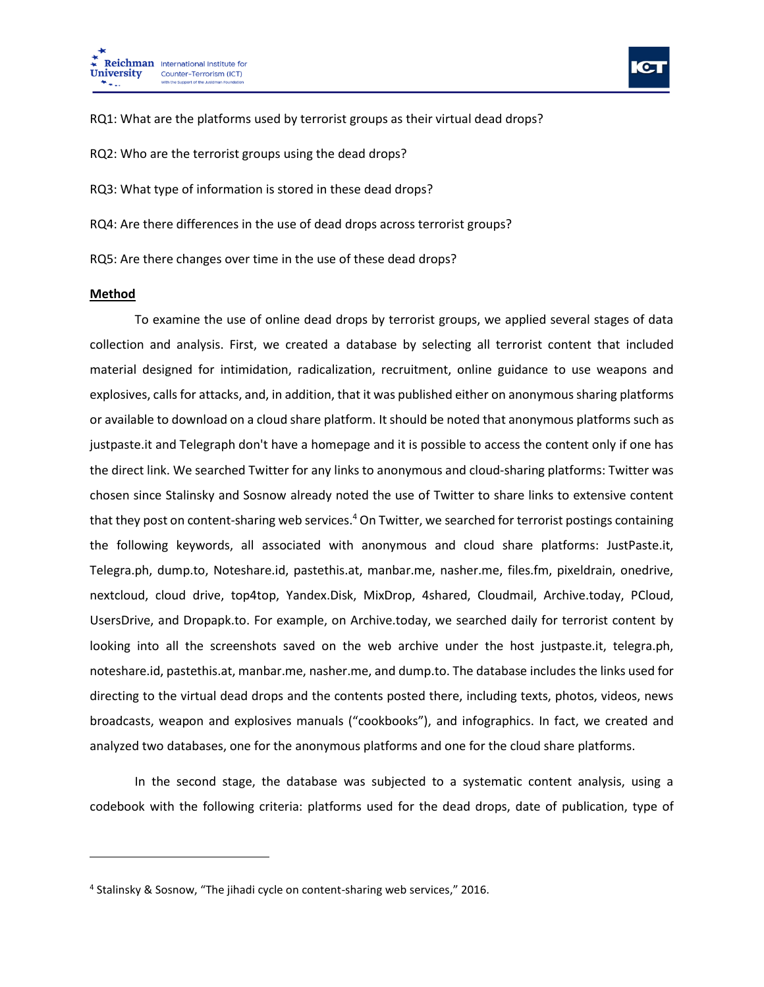



RQ1: What are the platforms used by terrorist groups as their virtual dead drops?

RQ2: Who are the terrorist groups using the dead drops?

RQ3: What type of information is stored in these dead drops?

RQ4: Are there differences in the use of dead drops across terrorist groups?

RQ5: Are there changes over time in the use of these dead drops?

#### **Method**

To examine the use of online dead drops by terrorist groups, we applied several stages of data collection and analysis. First, we created a database by selecting all terrorist content that included material designed for intimidation, radicalization, recruitment, online guidance to use weapons and explosives, calls for attacks, and, in addition, that it was published either on anonymous sharing platforms or available to download on a cloud share platform. It should be noted that anonymous platforms such as justpaste.it and Telegraph don't have a homepage and it is possible to access the content only if one has the direct link. We searched Twitter for any links to anonymous and cloud-sharing platforms: Twitter was chosen since Stalinsky and Sosnow already noted the use of Twitter to share links to extensive content that they post on content-sharing web services.<sup>4</sup> On Twitter, we searched for terrorist postings containing the following keywords, all associated with anonymous and cloud share platforms: JustPaste.it, Telegra.ph, dump.to, Noteshare.id, pastethis.at, manbar.me, nasher.me, files.fm, pixeldrain, onedrive, nextcloud, cloud drive, top4top, Yandex.Disk, MixDrop, 4shared, Cloudmail, Archive.today, PCloud, UsersDrive, and Dropapk.to. For example, on Archive.today, we searched daily for terrorist content by looking into all the screenshots saved on the web archive under the host justpaste.it, telegra.ph, noteshare.id, pastethis.at, manbar.me, nasher.me, and dump.to. The database includes the links used for directing to the virtual dead drops and the contents posted there, including texts, photos, videos, news broadcasts, weapon and explosives manuals ("cookbooks"), and infographics. In fact, we created and analyzed two databases, one for the anonymous platforms and one for the cloud share platforms.

In the second stage, the database was subjected to a systematic content analysis, using a codebook with the following criteria: platforms used for the dead drops, date of publication, type of

<sup>&</sup>lt;sup>4</sup> Stalinsky & Sosnow, "The jihadi cycle on content-sharing web services," 2016.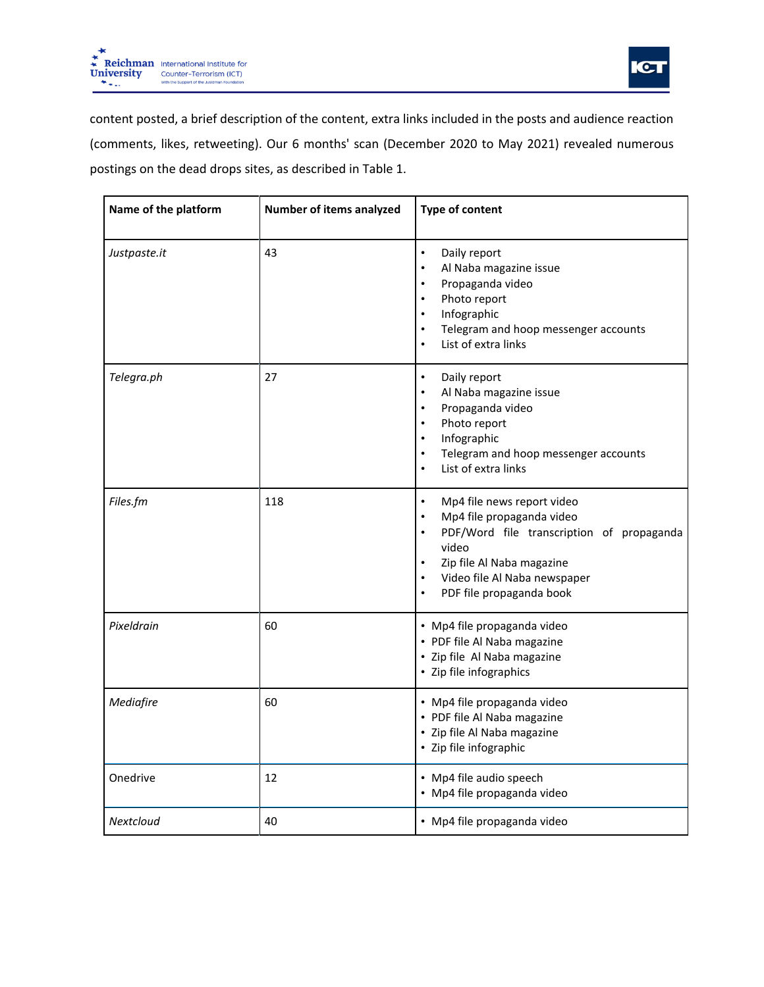



content posted, a brief description of the content, extra links included in the posts and audience reaction (comments, likes, retweeting). Our 6 months' scan (December 2020 to May 2021) revealed numerous postings on the dead drops sites, as described in Table 1.

| Name of the platform | Number of items analyzed | Type of content                                                                                                                                                                                                                                     |
|----------------------|--------------------------|-----------------------------------------------------------------------------------------------------------------------------------------------------------------------------------------------------------------------------------------------------|
| Justpaste.it         | 43                       | $\bullet$<br>Daily report<br>Al Naba magazine issue<br>$\bullet$<br>Propaganda video<br>$\bullet$<br>Photo report<br>$\bullet$<br>Infographic<br>$\bullet$<br>Telegram and hoop messenger accounts<br>$\bullet$<br>List of extra links<br>$\bullet$ |
| Telegra.ph           | 27                       | Daily report<br>$\bullet$<br>Al Naba magazine issue<br>Propaganda video<br>$\bullet$<br>Photo report<br>$\bullet$<br>Infographic<br>$\bullet$<br>Telegram and hoop messenger accounts<br>$\bullet$<br>List of extra links<br>$\bullet$              |
| Files.fm             | 118                      | Mp4 file news report video<br>$\bullet$<br>Mp4 file propaganda video<br>$\bullet$<br>PDF/Word file transcription of propaganda<br>$\bullet$<br>video<br>Zip file Al Naba magazine<br>Video file Al Naba newspaper<br>PDF file propaganda book       |
| Pixeldrain           | 60                       | · Mp4 file propaganda video<br>• PDF file Al Naba magazine<br>· Zip file Al Naba magazine<br>• Zip file infographics                                                                                                                                |
| Mediafire            | 60                       | · Mp4 file propaganda video<br>• PDF file Al Naba magazine<br>· Zip file Al Naba magazine<br>• Zip file infographic                                                                                                                                 |
| Onedrive             | 12                       | • Mp4 file audio speech<br>· Mp4 file propaganda video                                                                                                                                                                                              |
| Nextcloud            | 40                       | · Mp4 file propaganda video                                                                                                                                                                                                                         |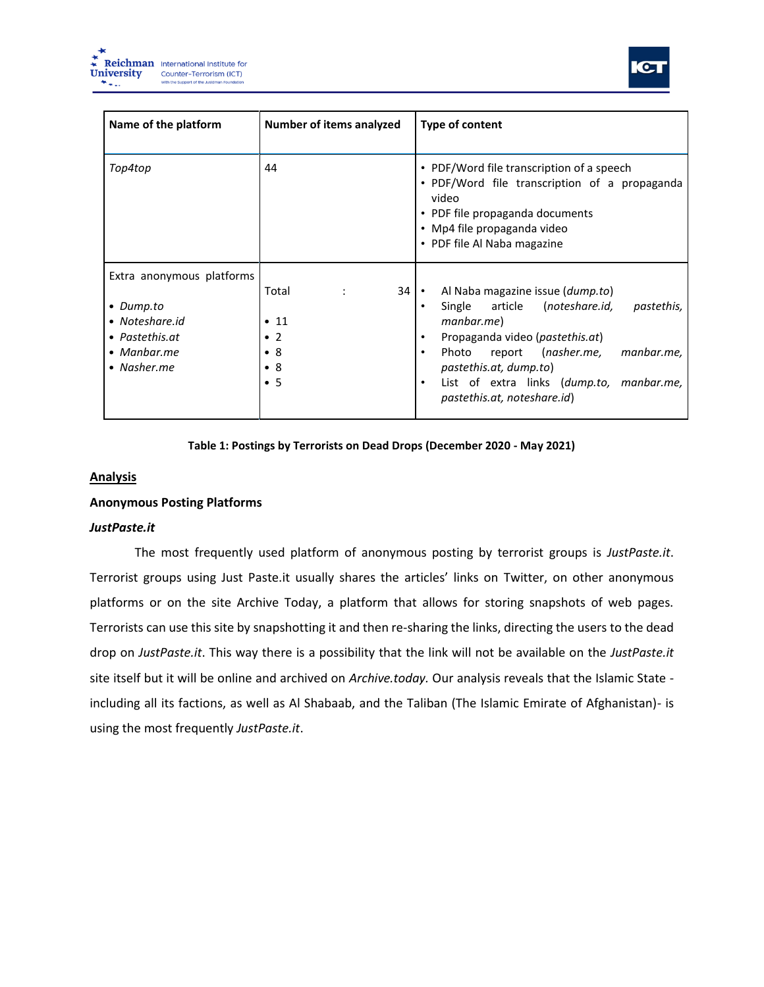



| Name of the platform                                                                                     | Number of items analyzed                                                                     | Type of content                                                                                                                                                                                                                                                                                        |
|----------------------------------------------------------------------------------------------------------|----------------------------------------------------------------------------------------------|--------------------------------------------------------------------------------------------------------------------------------------------------------------------------------------------------------------------------------------------------------------------------------------------------------|
| Top4top                                                                                                  | 44                                                                                           | • PDF/Word file transcription of a speech<br>· PDF/Word file transcription of a propaganda<br>video<br>• PDF file propaganda documents<br>• Mp4 file propaganda video<br>• PDF file Al Naba magazine                                                                                                   |
| Extra anonymous platforms<br>• Dump.to<br>• Noteshare.id<br>• Pastethis.at<br>• Manbar.me<br>• Nasher.me | Total<br>$1 - 1$<br>$\bullet$ 11<br>$\bullet$ 2<br>$\bullet$ 8<br>$\bullet$ 8<br>$\bullet$ 5 | $34 \cdot$<br>Al Naba magazine issue (dump.to)<br>Single article (noteshare.id,<br>pastethis,<br>manbar.me)<br>Propaganda video ( <i>pastethis.at</i> )<br>Photo report (nasher.me,<br>manbar.me,<br>pastethis.at, dump.to)<br>List of extra links (dump.to, manbar.me,<br>pastethis.at, noteshare.id) |

#### **Table 1: Postings by Terrorists on Dead Drops (December 2020 - May 2021)**

## **Analysis**

## **Anonymous Posting Platforms**

## *JustPaste.it*

The most frequently used platform of anonymous posting by terrorist groups is *JustPaste.it*. Terrorist groups using Just Paste.it usually shares the articles' links on Twitter, on other anonymous platforms or on the site Archive Today, a platform that allows for storing snapshots of web pages. Terrorists can use this site by snapshotting it and then re-sharing the links, directing the users to the dead drop on *[JustPaste.it](http://justpaste.it/)*. This way there is a possibility that the link will not be available on the *JustPaste.it* site itself but it will be online and archived on *Archive.today.* Our analysis reveals that the Islamic State including all its factions, as well as Al Shabaab, and the Taliban (The Islamic Emirate of Afghanistan)- is using the most frequently *JustPaste.it*.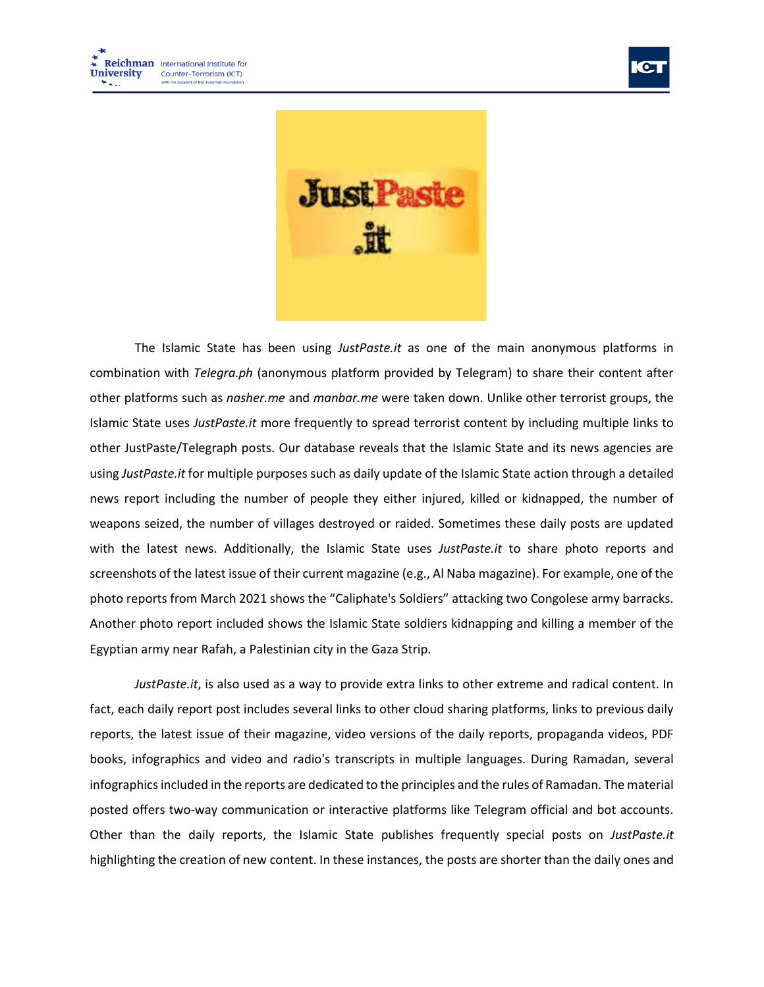



The Islamic State has been using *JustPaste.it* as one of the main anonymous platforms in combination with *Telegra.ph* (anonymous platform provided by Telegram) to share their content after other platforms such as *nasher.me* and *manbar.me* were taken down. Unlike other terrorist groups, the Islamic State uses *JustPaste.it* more frequently to spread terrorist content by including multiple links to other JustPaste/Telegraph posts. Our database reveals that the Islamic State and its news agencies are using *JustPaste.it* for multiple purposes such as daily update of the Islamic State action through a detailed news report including the number of people they either injured, killed or kidnapped, the number of weapons seized, the number of villages destroyed or raided. Sometimes these daily posts are updated with the latest news. Additionally, the Islamic State uses *JustPaste.it* to share photo reports and screenshots of the latest issue of their current magazine (e.g., Al Naba magazine). For example, one of the photo reports from March 2021 shows the "Caliphate's Soldiers" attacking two Congolese army barracks. Another photo report included shows the Islamic State soldiers kidnapping and killing a member of the Egyptian army near Rafah, a Palestinian city in the Gaza Strip.

*JustPaste.it*, is also used as a way to provide extra links to other extreme and radical content. In fact, each daily report post includes several links to other cloud sharing platforms, links to previous daily reports, the latest issue of their magazine, video versions of the daily reports, propaganda videos, PDF books, infographics and video and radio's transcripts in multiple languages. During Ramadan, several infographics included in the reports are dedicated to the principles and the rules of Ramadan. The material posted offers two-way communication or interactive platforms like Telegram official and bot accounts. Other than the daily reports, the Islamic State publishes frequently special posts on *JustPaste.it* highlighting the creation of new content. In these instances, the posts are shorter than the daily ones and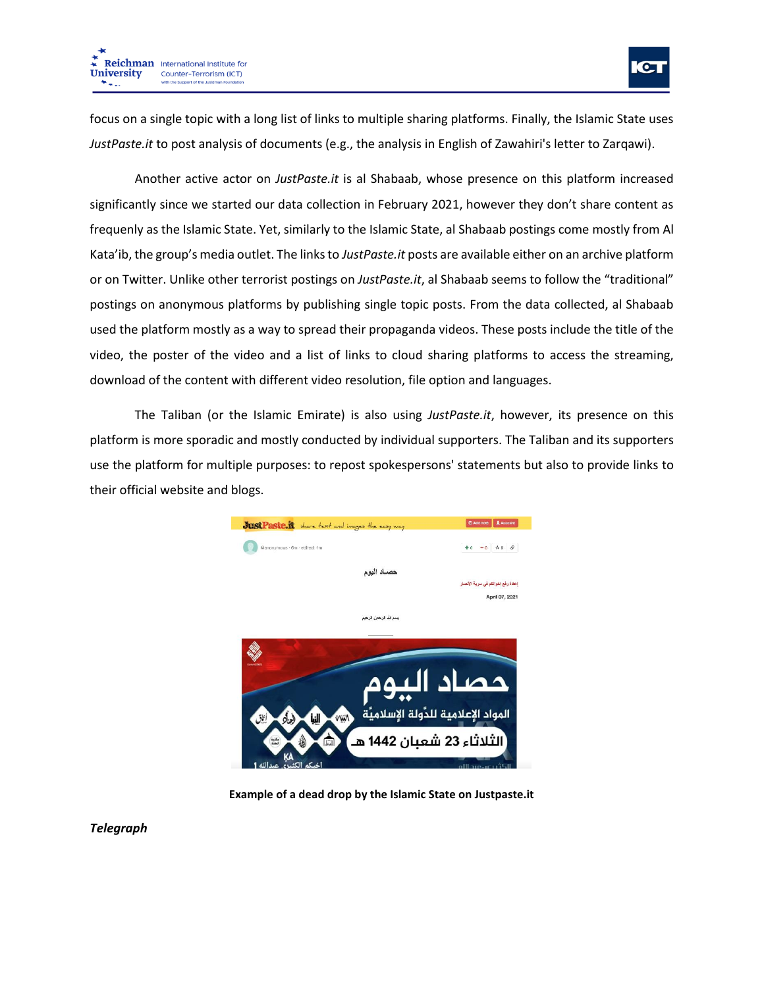

focus on a single topic with a long list of links to multiple sharing platforms. Finally, the Islamic State uses *JustPaste.it* to post analysis of documents (e.g., the analysis in English of Zawahiri's letter to Zarqawi).

Another active actor on *JustPaste.it* is al Shabaab, whose presence on this platform increased significantly since we started our data collection in February 2021, however they don't share content as frequenly as the Islamic State. Yet, similarly to the Islamic State, al Shabaab postings come mostly from Al Kata'ib, the group's media outlet. The links to *JustPaste.it* posts are available either on an archive platform or on Twitter. Unlike other terrorist postings on *JustPaste.it*, al Shabaab seems to follow the "traditional" postings on anonymous platforms by publishing single topic posts. From the data collected, al Shabaab used the platform mostly as a way to spread their propaganda videos. These posts include the title of the video, the poster of the video and a list of links to cloud sharing platforms to access the streaming, download of the content with different video resolution, file option and languages.

The Taliban (or the Islamic Emirate) is also using *JustPaste.it*, however, its presence on this platform is more sporadic and mostly conducted by individual supporters. The Taliban and its supporters use the platform for multiple purposes: to repost spokespersons' statements but also to provide links to their official website and blogs.



**Example of a dead drop by the Islamic State on Justpaste.it**

*Telegraph*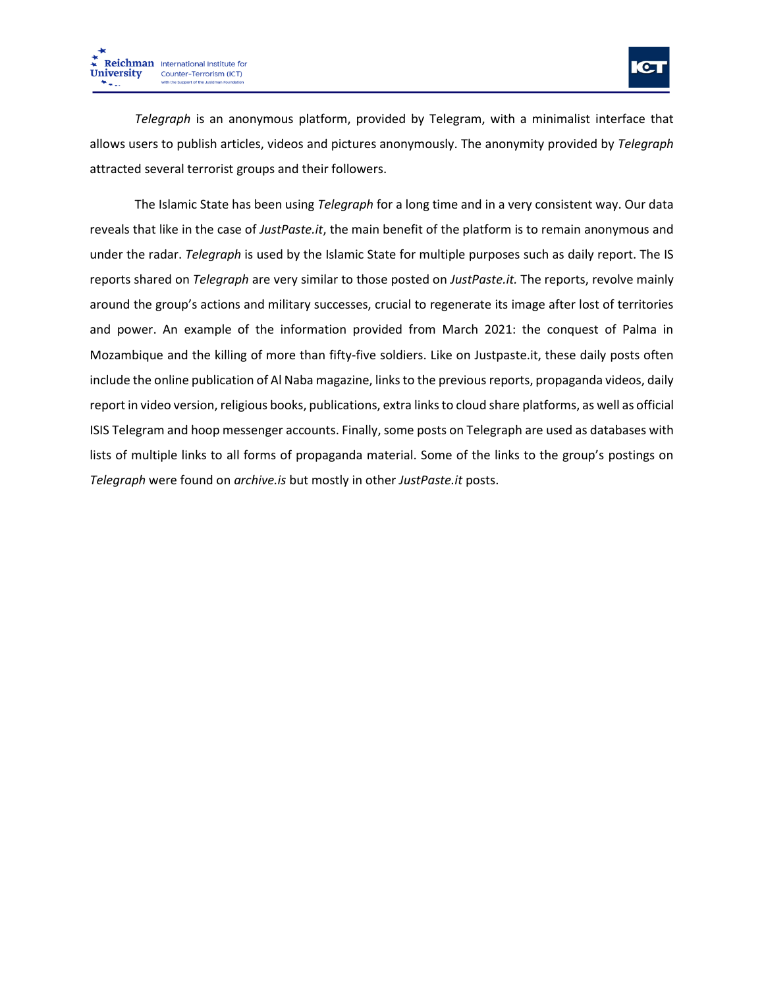

*Telegraph* is an anonymous platform, provided by Telegram, with a minimalist interface that allows users to publish articles, videos and pictures anonymously. The anonymity provided by *Telegraph* attracted several terrorist groups and their followers.

The Islamic State has been using *Telegraph* for a long time and in a very consistent way. Our data reveals that like in the case of *JustPaste.it*, the main benefit of the platform is to remain anonymous and under the radar. *Telegraph* is used by the Islamic State for multiple purposes such as daily report. The IS reports shared on *Telegraph* are very similar to those posted on *JustPaste.it.* The reports, revolve mainly around the group's actions and military successes, crucial to regenerate its image after lost of territories and power. An example of the information provided from March 2021: the conquest of Palma in Mozambique and the killing of more than fifty-five soldiers. Like on Justpaste.it, these daily posts often include the online publication of Al Naba magazine, links to the previous reports, propaganda videos, daily report in video version, religious books, publications, extra links to cloud share platforms, as well as official ISIS Telegram and hoop messenger accounts. Finally, some posts on Telegraph are used as databases with lists of multiple links to all forms of propaganda material. Some of the links to the group's postings on *Telegraph* were found on *archive.is* but mostly in other *JustPaste.it* posts.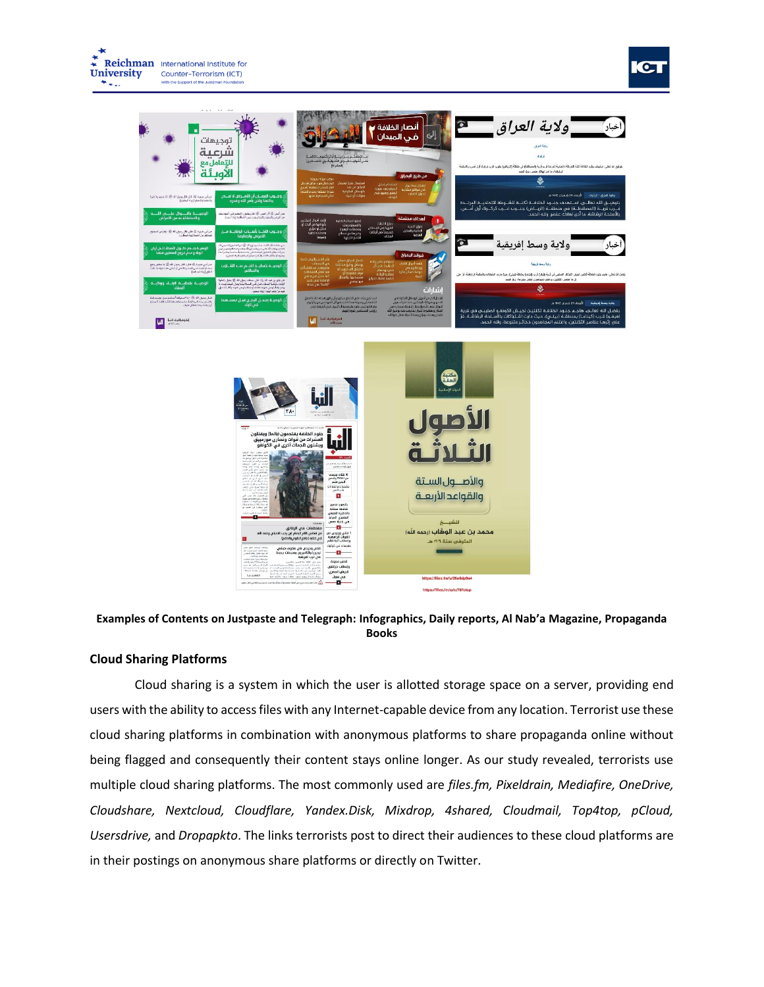



## **Examples of Contents on Justpaste and Telegraph: Infographics, Daily reports, Al Nab'a Magazine, Propaganda Books**

## **Cloud Sharing Platforms**

Cloud sharing is a system in which the user is allotted storage space on a server, providing end users with the ability to access files with any Internet-capable device from any location. Terrorist use these cloud sharing platforms in combination with anonymous platforms to share propaganda online without being flagged and consequently their content stays online longer. As our study revealed, terrorists use multiple cloud sharing platforms. The most commonly used are *files.fm, Pixeldrain, Mediafire, OneDrive, Cloudshare, Nextcloud, Cloudflare, Yandex.Disk, Mixdrop, 4shared, Cloudmail, Top4top, pCloud, Usersdrive,* and *Dropapkto*. The links terrorists post to direct their audiences to these cloud platforms are in their postings on anonymous share platforms or directly on Twitter.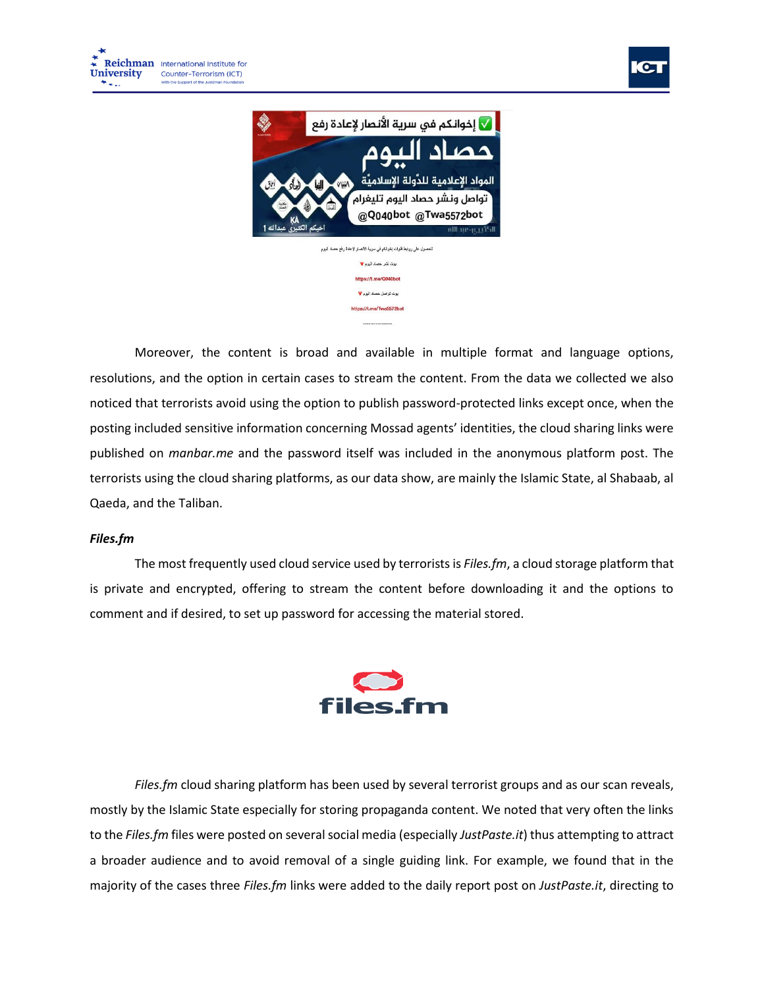![](_page_10_Picture_1.jpeg)

![](_page_10_Picture_2.jpeg)

Moreover, the content is broad and available in multiple format and language options, resolutions, and the option in certain cases to stream the content. From the data we collected we also noticed that terrorists avoid using the option to publish password-protected links except once, when the posting included sensitive information concerning Mossad agents' identities, the cloud sharing links were published on *manbar.me* and the password itself was included in the anonymous platform post. The terrorists using the cloud sharing platforms, as our data show, are mainly the Islamic State, al Shabaab, al Qaeda, and the Taliban.

# *Files.fm*

The most frequently used cloud service used by terrorists is *Files.fm*, a cloud storage platform that is private and encrypted, offering to stream the content before downloading it and the options to comment and if desired, to set up password for accessing the material stored.

![](_page_10_Picture_6.jpeg)

*Files.fm* cloud sharing platform has been used by several terrorist groups and as our scan reveals, mostly by the Islamic State especially for storing propaganda content. We noted that very often the links to the *Files.fm* files were posted on several social media (especially *JustPaste.it*) thus attempting to attract a broader audience and to avoid removal of a single guiding link. For example, we found that in the majority of the cases three *Files.fm* links were added to the daily report post on *JustPaste.it*, directing to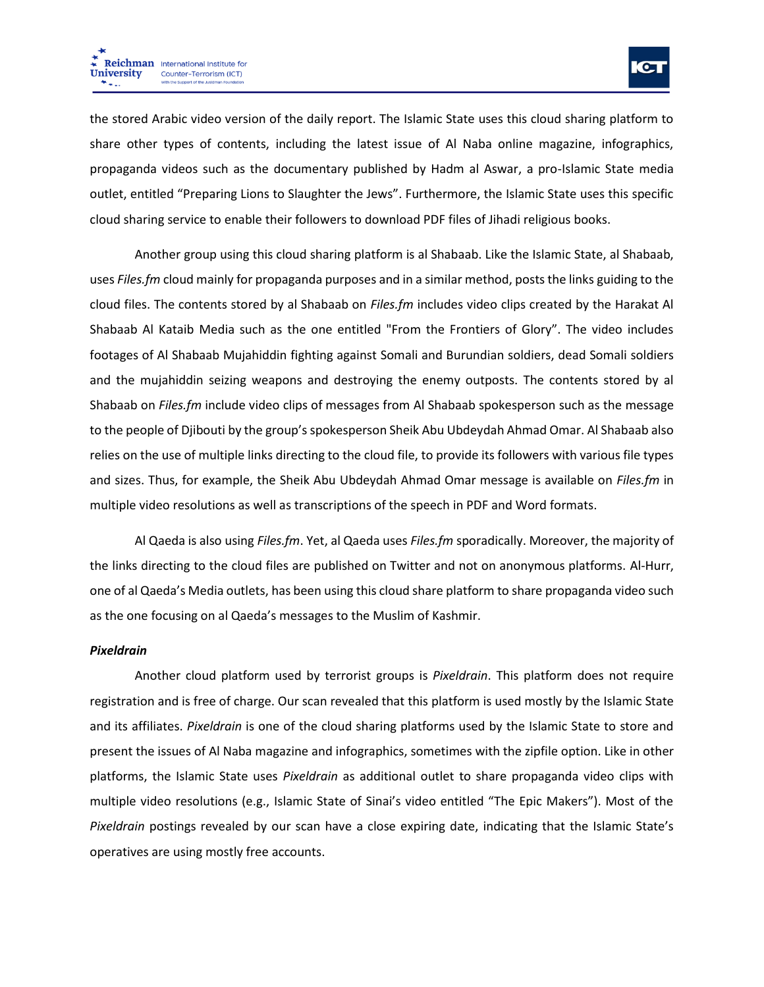![](_page_11_Picture_1.jpeg)

the stored Arabic video version of the daily report. The Islamic State uses this cloud sharing platform to share other types of contents, including the latest issue of Al Naba online magazine, infographics, propaganda videos such as the documentary published by Hadm al Aswar, a pro-Islamic State media outlet, entitled "Preparing Lions to Slaughter the Jews". Furthermore, the Islamic State uses this specific cloud sharing service to enable their followers to download PDF files of Jihadi religious books.

Another group using this cloud sharing platform is al Shabaab. Like the Islamic State, al Shabaab, uses *Files.fm* cloud mainly for propaganda purposes and in a similar method, posts the links guiding to the cloud files. The contents stored by al Shabaab on *Files.fm* includes video clips created by the Harakat Al Shabaab Al Kataib Media such as the one entitled "From the Frontiers of Glory". The video includes footages of Al Shabaab Mujahiddin fighting against Somali and Burundian soldiers, dead Somali soldiers and the mujahiddin seizing weapons and destroying the enemy outposts. The contents stored by al Shabaab on *Files.fm* include video clips of messages from Al Shabaab spokesperson such as the message to the people of Djibouti by the group's spokesperson Sheik Abu Ubdeydah Ahmad Omar. Al Shabaab also relies on the use of multiple links directing to the cloud file, to provide its followers with various file types and sizes. Thus, for example, the Sheik Abu Ubdeydah Ahmad Omar message is available on *Files.fm* in multiple video resolutions as well as transcriptions of the speech in PDF and Word formats.

Al Qaeda is also using *Files.fm*. Yet, al Qaeda uses *Files.fm* sporadically. Moreover, the majority of the links directing to the cloud files are published on Twitter and not on anonymous platforms. Al-Hurr, one of al Qaeda's Media outlets, has been using this cloud share platform to share propaganda video such as the one focusing on al Qaeda's messages to the Muslim of Kashmir.

## *Pixeldrain*

Another cloud platform used by terrorist groups is *Pixeldrain*. This platform does not require registration and is free of charge. Our scan revealed that this platform is used mostly by the Islamic State and its affiliates. *Pixeldrain* is one of the cloud sharing platforms used by the Islamic State to store and present the issues of Al Naba magazine and infographics, sometimes with the zipfile option. Like in other platforms, the Islamic State uses *Pixeldrain* as additional outlet to share propaganda video clips with multiple video resolutions (e.g., Islamic State of Sinai's video entitled "The Epic Makers"). Most of the *Pixeldrain* postings revealed by our scan have a close expiring date, indicating that the Islamic State's operatives are using mostly free accounts.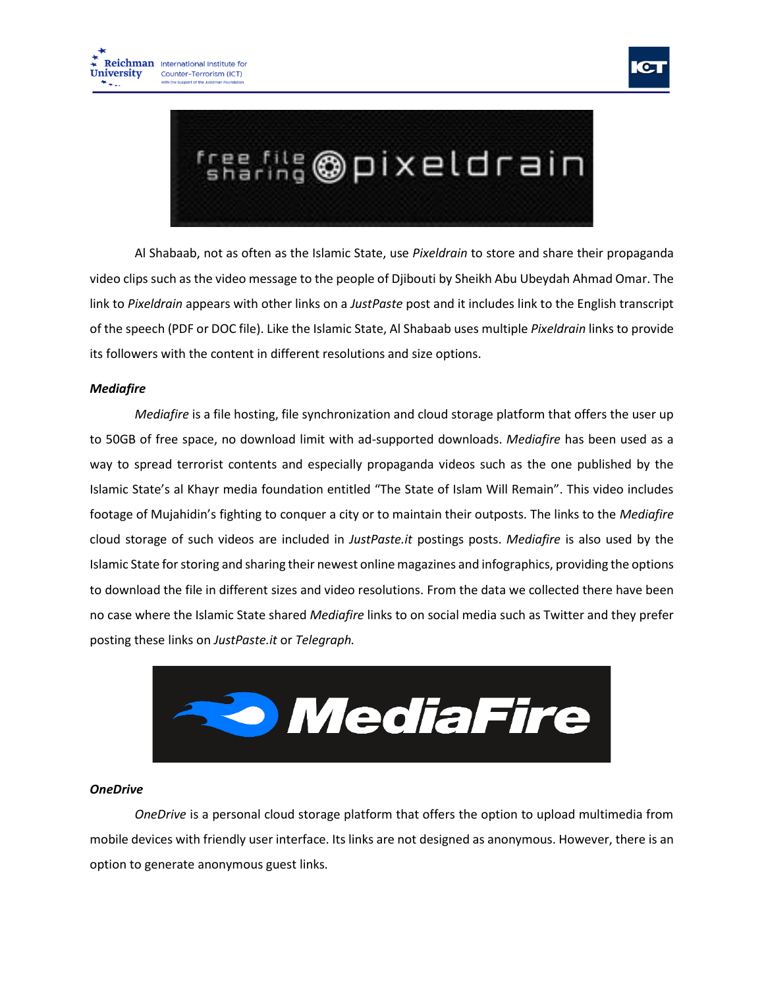![](_page_12_Picture_1.jpeg)

![](_page_12_Picture_2.jpeg)

Al Shabaab, not as often as the Islamic State, use *Pixeldrain* to store and share their propaganda video clips such as the video message to the people of Djibouti by Sheikh Abu Ubeydah Ahmad Omar. The link to *Pixeldrain* appears with other links on a *JustPaste* post and it includes link to the English transcript of the speech (PDF or DOC file). Like the Islamic State, Al Shabaab uses multiple *Pixeldrain* links to provide its followers with the content in different resolutions and size options.

# *Mediafire*

*Mediafire* is a file hosting, file synchronization and cloud storage platform that offers the user up to 50GB of free space, no download limit with ad-supported downloads. *Mediafire* has been used as a way to spread terrorist contents and especially propaganda videos such as the one published by the Islamic State's al Khayr media foundation entitled "The State of Islam Will Remain". This video includes footage of Mujahidin's fighting to conquer a city or to maintain their outposts. The links to the *Mediafire* cloud storage of such videos are included in *JustPaste.it* postings posts. *Mediafire* is also used by the Islamic State for storing and sharing their newest online magazines and infographics, providing the options to download the file in different sizes and video resolutions. From the data we collected there have been no case where the Islamic State shared *Mediafire* links to on social media such as Twitter and they prefer posting these links on *JustPaste.it* or *Telegraph.*

![](_page_12_Picture_6.jpeg)

## *OneDrive*

*OneDrive* is a personal cloud storage platform that offers the option to upload multimedia from mobile devices with friendly user interface. Its links are not designed as anonymous. However, there is an option to generate anonymous guest links*.*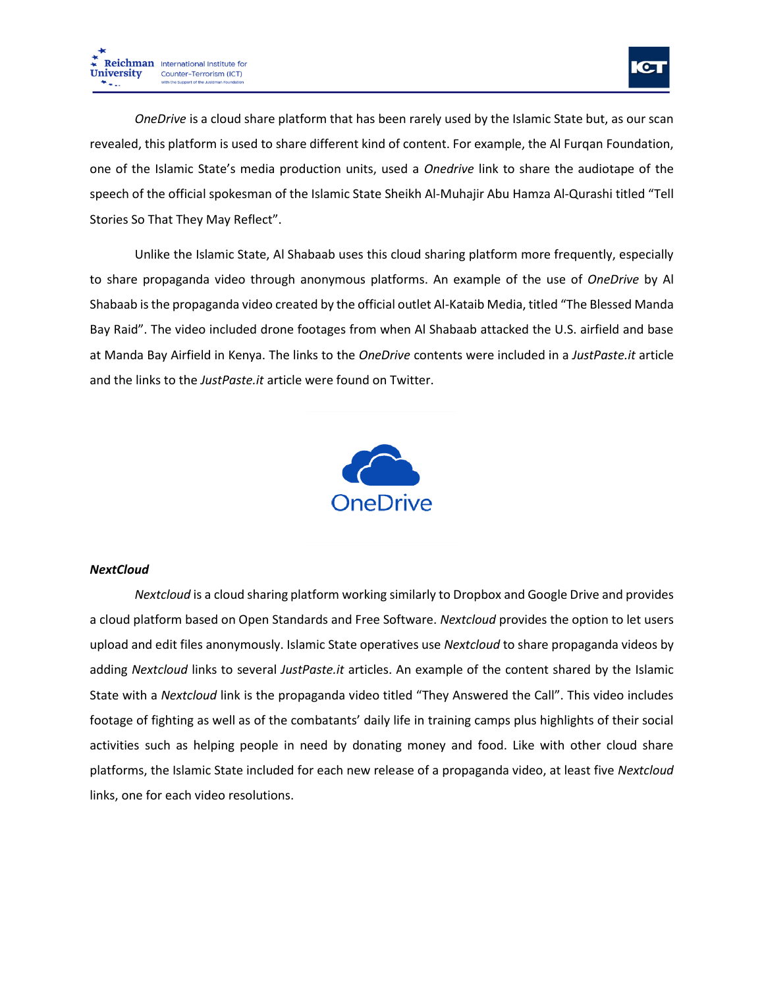![](_page_13_Picture_1.jpeg)

*OneDrive* is a cloud share platform that has been rarely used by the Islamic State but, as our scan revealed, this platform is used to share different kind of content. For example, the Al Furqan Foundation, one of the Islamic State's media production units, used a *Onedrive* link to share the audiotape of the speech of the official spokesman of the Islamic State Sheikh Al-Muhajir Abu Hamza Al-Qurashi titled "Tell Stories So That They May Reflect".

Unlike the Islamic State, Al Shabaab uses this cloud sharing platform more frequently, especially to share propaganda video through anonymous platforms. An example of the use of *OneDrive* by Al Shabaab is the propaganda video created by the official outlet Al-Kataib Media, titled "The Blessed Manda Bay Raid". The video included drone footages from when Al Shabaab attacked the U.S. airfield and base at Manda Bay Airfield in Kenya. The links to the *OneDrive* contents were included in a *JustPaste.it* article and the links to the *JustPaste.it* article were found on Twitter.

![](_page_13_Picture_4.jpeg)

# *NextCloud*

*Nextcloud* is a cloud sharing platform working similarly to Dropbox and Google Drive and provides a cloud platform based on Open Standards and Free Software. *Nextcloud* provides the option to let users upload and edit files anonymously. Islamic State operatives use *Nextcloud* to share propaganda videos by adding *Nextcloud* links to several *JustPaste.it* articles. An example of the content shared by the Islamic State with a *Nextcloud* link is the propaganda video titled "They Answered the Call". This video includes footage of fighting as well as of the combatants' daily life in training camps plus highlights of their social activities such as helping people in need by donating money and food. Like with other cloud share platforms, the Islamic State included for each new release of a propaganda video, at least five *Nextcloud* links, one for each video resolutions.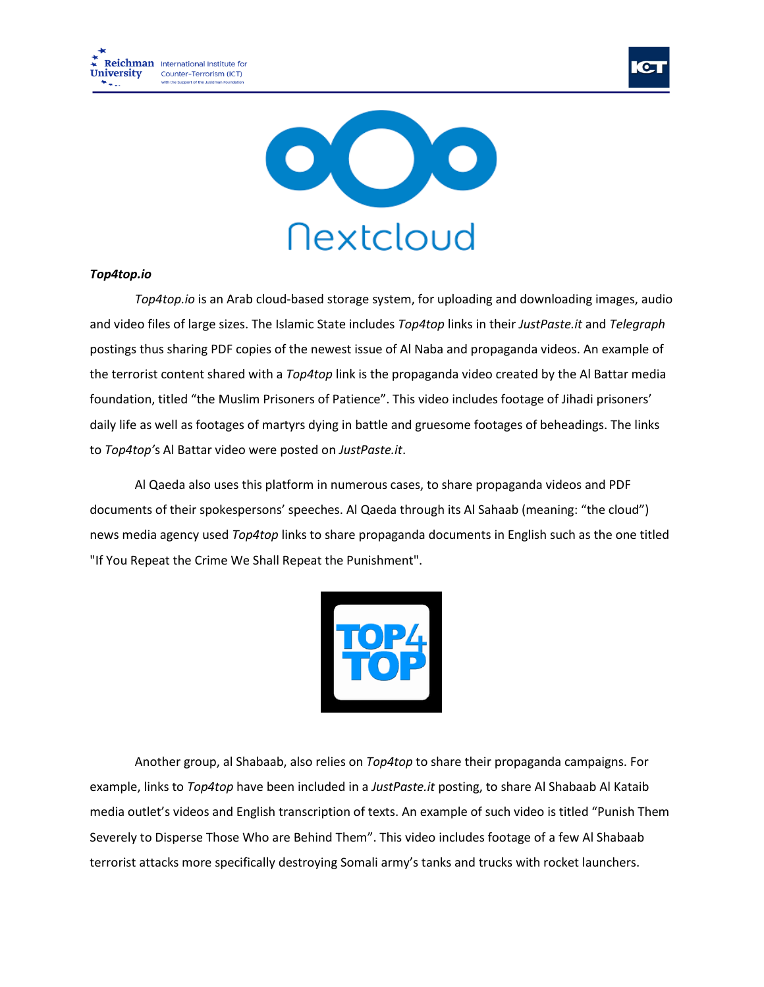![](_page_14_Picture_0.jpeg)

![](_page_14_Picture_1.jpeg)

![](_page_14_Picture_2.jpeg)

## *Top4top.io*

*Top4top.io* is an Arab cloud-based storage system, for uploading and downloading images, audio and video files of large sizes. The Islamic State includes *Top4top* links in their *JustPaste.it* and *Telegraph* postings thus sharing PDF copies of the newest issue of Al Naba and propaganda videos. An example of the terrorist content shared with a *Top4top* link is the propaganda video created by the Al Battar media foundation, titled "the Muslim Prisoners of Patience". This video includes footage of Jihadi prisoners' daily life as well as footages of martyrs dying in battle and gruesome footages of beheadings. The links to *Top4top'*s Al Battar video were posted on *JustPaste.it*.

Al Qaeda also uses this platform in numerous cases, to share propaganda videos and PDF documents of their spokespersons' speeches. Al Qaeda through its Al Sahaab (meaning: "the cloud") news media agency used *Top4top* links to share propaganda documents in English such as the one titled "If You Repeat the Crime We Shall Repeat the Punishment".

![](_page_14_Picture_6.jpeg)

Another group, al Shabaab, also relies on *Top4top* to share their propaganda campaigns. For example, links to *Top4top* have been included in a *JustPaste.it* posting, to share Al Shabaab Al Kataib media outlet's videos and English transcription of texts. An example of such video is titled "Punish Them Severely to Disperse Those Who are Behind Them". This video includes footage of a few Al Shabaab terrorist attacks more specifically destroying Somali army's tanks and trucks with rocket launchers.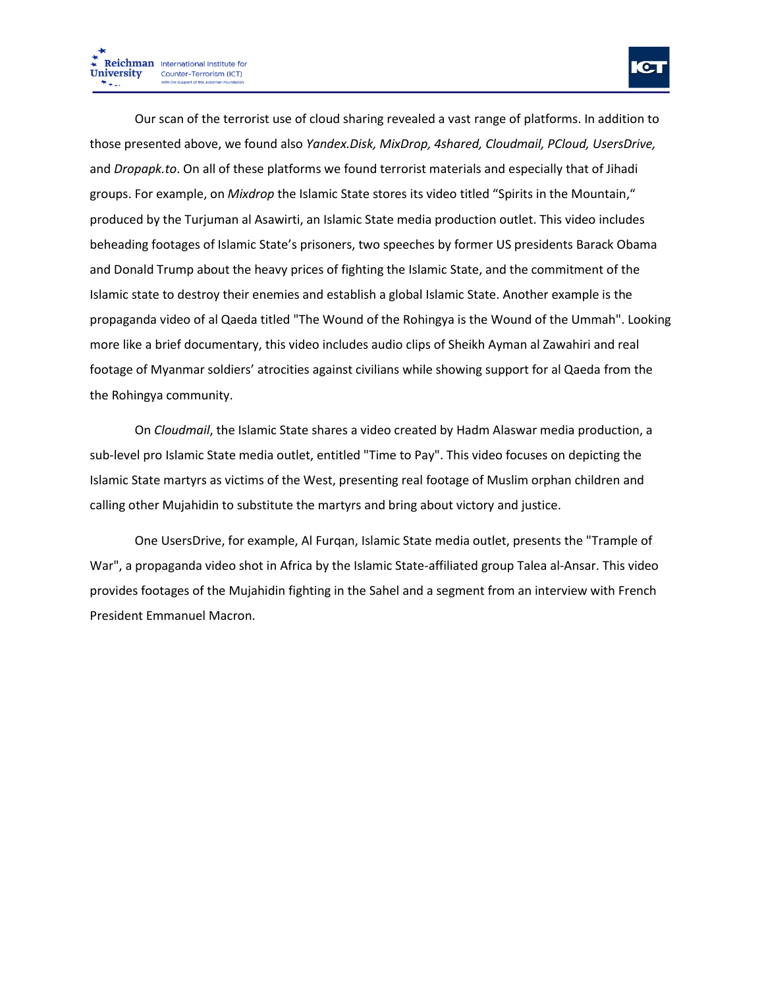Our scan of the terrorist use of cloud sharing revealed a vast range of platforms. In addition to those presented above, we found also *Yandex.Disk, MixDrop, 4shared, Cloudmail, PCloud, UsersDrive,* and *Dropapk.to*. On all of these platforms we found terrorist materials and especially that of Jihadi groups. For example, on *Mixdrop* the Islamic State stores its video titled "Spirits in the Mountain," produced by the Turjuman al Asawirti, an Islamic State media production outlet. This video includes beheading footages of Islamic State's prisoners, two speeches by former US presidents Barack Obama and Donald Trump about the heavy prices of fighting the Islamic State, and the commitment of the Islamic state to destroy their enemies and establish a global Islamic State. Another example is the propaganda video of al Qaeda titled "The Wound of the Rohingya is the Wound of the Ummah". Looking more like a brief documentary, this video includes audio clips of Sheikh Ayman al Zawahiri and real footage of Myanmar soldiers' atrocities against civilians while showing support for al Qaeda from the the Rohingya community.

On *Cloudmail*, the Islamic State shares a video created by Hadm Alaswar media production, a sub-level pro Islamic State media outlet, entitled "Time to Pay". This video focuses on depicting the Islamic State martyrs as victims of the West, presenting real footage of Muslim orphan children and calling other Mujahidin to substitute the martyrs and bring about victory and justice.

One UsersDrive, for example, Al Furqan, Islamic State media outlet, presents the "Trample of War", a propaganda video shot in Africa by the Islamic State-affiliated group Talea al-Ansar. This video provides footages of the Mujahidin fighting in the Sahel and a segment from an interview with French President Emmanuel Macron.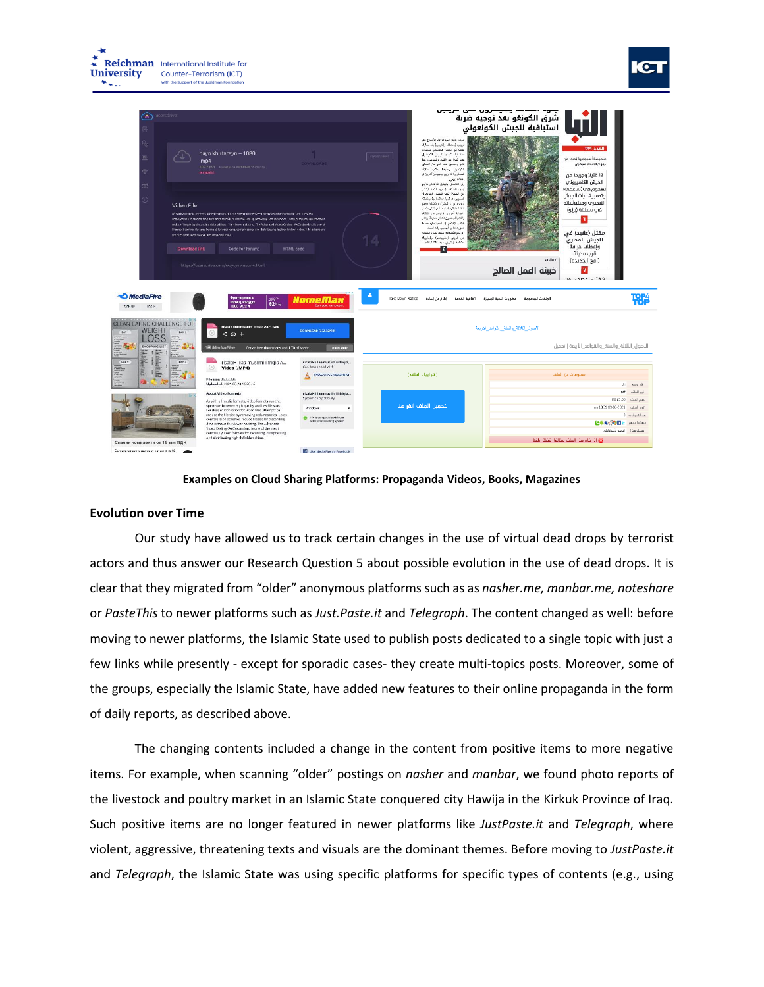![](_page_16_Picture_0.jpeg)

![](_page_16_Picture_2.jpeg)

#### **Examples on Cloud Sharing Platforms: Propaganda Videos, Books, Magazines**

## **Evolution over Time**

Our study have allowed us to track certain changes in the use of virtual dead drops by terrorist actors and thus answer our Research Question 5 about possible evolution in the use of dead drops. It is clear that they migrated from "older" anonymous platforms such as as *nasher.me, manbar.me, noteshare* or *PasteThis* to newer platforms such as *Just.Paste.it* and *Telegraph*. The content changed as well: before moving to newer platforms, the Islamic State used to publish posts dedicated to a single topic with just a few links while presently - except for sporadic cases- they create multi-topics posts. Moreover, some of the groups, especially the Islamic State, have added new features to their online propaganda in the form of daily reports, as described above.

The changing contents included a change in the content from positive items to more negative items. For example, when scanning "older" postings on *nasher* and *manbar*, we found photo reports of the livestock and poultry market in an Islamic State conquered city Hawija in the Kirkuk Province of Iraq. Such positive items are no longer featured in newer platforms like *JustPaste.it* and *Telegraph*, where violent, aggressive, threatening texts and visuals are the dominant themes. Before moving to *JustPaste.it* and *Telegraph*, the Islamic State was using specific platforms for specific types of contents (e.g., using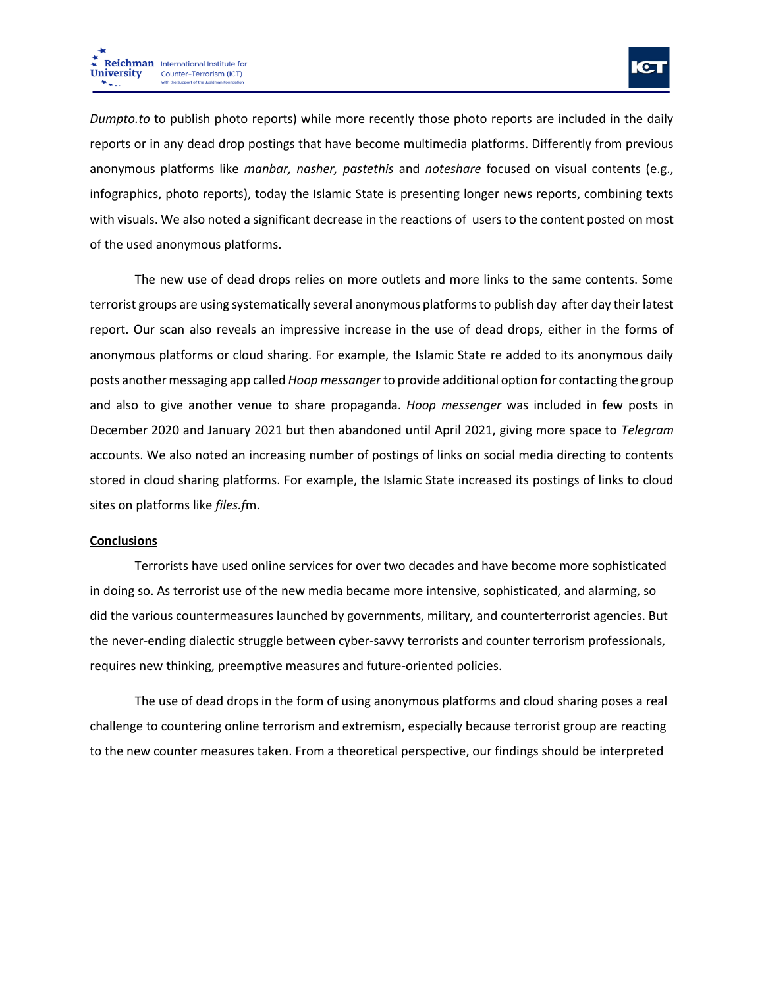![](_page_17_Picture_1.jpeg)

*Dumpto.to* to publish photo reports) while more recently those photo reports are included in the daily reports or in any dead drop postings that have become multimedia platforms. Differently from previous anonymous platforms like *manbar, nasher, pastethis* and *noteshare* focused on visual contents (e.g., infographics, photo reports), today the Islamic State is presenting longer news reports, combining texts with visuals. We also noted a significant decrease in the reactions of users to the content posted on most of the used anonymous platforms.

The new use of dead drops relies on more outlets and more links to the same contents. Some terrorist groups are using systematically several anonymous platforms to publish day after day their latest report. Our scan also reveals an impressive increase in the use of dead drops, either in the forms of anonymous platforms or cloud sharing. For example, the Islamic State re added to its anonymous daily posts another messaging app called *Hoop messanger* to provide additional option for contacting the group and also to give another venue to share propaganda. *Hoop messenger* was included in few posts in December 2020 and January 2021 but then abandoned until April 2021, giving more space to *Telegram* accounts. We also noted an increasing number of postings of links on social media directing to contents stored in cloud sharing platforms. For example, the Islamic State increased its postings of links to cloud sites on platforms like *files.f*m.

## **Conclusions**

Terrorists have used online services for over two decades and have become more sophisticated in doing so. As terrorist use of the new media became more intensive, sophisticated, and alarming, so did the various countermeasures launched by governments, military, and counterterrorist agencies. But the never-ending dialectic struggle between cyber-savvy terrorists and counter terrorism professionals, requires new thinking, preemptive measures and future-oriented policies.

The use of dead drops in the form of using anonymous platforms and cloud sharing poses a real challenge to countering online terrorism and extremism, especially because terrorist group are reacting to the new counter measures taken. From a theoretical perspective, our findings should be interpreted